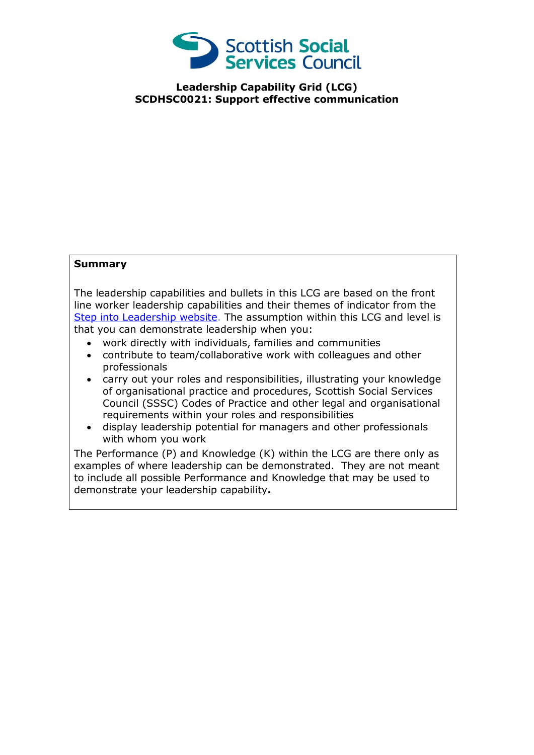

**Leadership Capability Grid (LCG) SCDHSC0021: Support effective communication**

## **Summary**

The leadership capabilities and bullets in this LCG are based on the front line worker leadership capabilities and their themes of indicator from the [Step into Leadership website.](http://www.stepintoleadership.info/) The assumption within this LCG and level is that you can demonstrate leadership when you:

- work directly with individuals, families and communities
- contribute to team/collaborative work with colleagues and other professionals
- carry out your roles and responsibilities, illustrating your knowledge of organisational practice and procedures, Scottish Social Services Council (SSSC) Codes of Practice and other legal and organisational requirements within your roles and responsibilities
- display leadership potential for managers and other professionals with whom you work

The Performance (P) and Knowledge (K) within the LCG are there only as examples of where leadership can be demonstrated. They are not meant to include all possible Performance and Knowledge that may be used to demonstrate your leadership capability**.**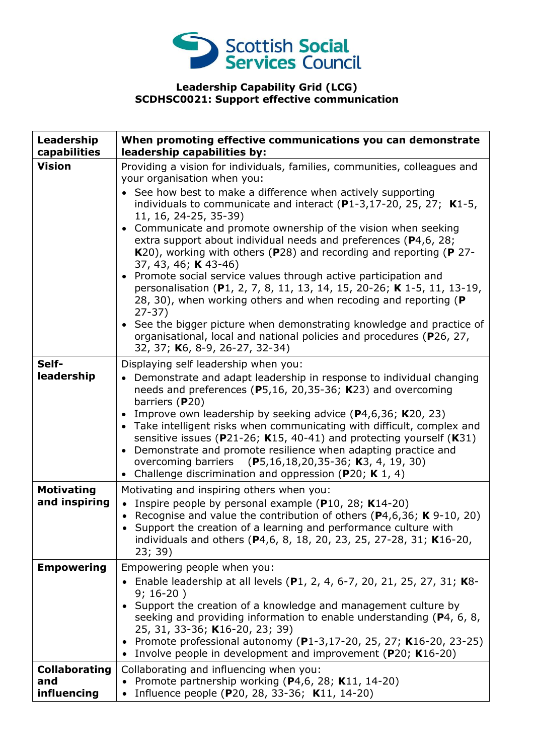

## **Leadership Capability Grid (LCG) SCDHSC0021: Support effective communication**

| Leadership<br>capabilities                 | When promoting effective communications you can demonstrate<br>leadership capabilities by:                                                                                                                                                                                                                                                                                                                                                                                                                                                                                                                                                                                                                                                                                                                                                                                                                                         |
|--------------------------------------------|------------------------------------------------------------------------------------------------------------------------------------------------------------------------------------------------------------------------------------------------------------------------------------------------------------------------------------------------------------------------------------------------------------------------------------------------------------------------------------------------------------------------------------------------------------------------------------------------------------------------------------------------------------------------------------------------------------------------------------------------------------------------------------------------------------------------------------------------------------------------------------------------------------------------------------|
| <b>Vision</b>                              | Providing a vision for individuals, families, communities, colleagues and<br>your organisation when you:<br>See how best to make a difference when actively supporting<br>individuals to communicate and interact $(P1-3, 17-20, 25, 27; K1-5,$<br>11, 16, 24-25, 35-39)<br>• Communicate and promote ownership of the vision when seeking<br>extra support about individual needs and preferences (P4,6, 28;<br>K20), working with others (P28) and recording and reporting (P 27-<br>37, 43, 46; <b>K</b> 43-46)<br>• Promote social service values through active participation and<br>personalisation (P1, 2, 7, 8, 11, 13, 14, 15, 20-26; K 1-5, 11, 13-19,<br>28, 30), when working others and when recoding and reporting (P<br>$27-37)$<br>• See the bigger picture when demonstrating knowledge and practice of<br>organisational, local and national policies and procedures (P26, 27,<br>32, 37; K6, 8-9, 26-27, 32-34) |
| Self-<br>leadership                        | Displaying self leadership when you:<br>• Demonstrate and adapt leadership in response to individual changing<br>needs and preferences (P5,16, 20,35-36; K23) and overcoming<br>barriers (P20)<br>• Improve own leadership by seeking advice $(P4, 6, 36; K20, 23)$<br>• Take intelligent risks when communicating with difficult, complex and<br>sensitive issues (P21-26; K15, 40-41) and protecting yourself (K31)<br>• Demonstrate and promote resilience when adapting practice and<br>overcoming barriers (P5,16,18,20,35-36; K3, 4, 19, 30)<br>• Challenge discrimination and oppression (P20; K 1, 4)                                                                                                                                                                                                                                                                                                                      |
| <b>Motivating</b><br>and inspiring         | Motivating and inspiring others when you:<br>• Inspire people by personal example (P10, 28; K14-20)<br>• Recognise and value the contribution of others ( $P4,6,36$ ; K 9-10, 20)<br>• Support the creation of a learning and performance culture with<br>individuals and others (P4,6, 8, 18, 20, 23, 25, 27-28, 31; K16-20,<br>23; 39)                                                                                                                                                                                                                                                                                                                                                                                                                                                                                                                                                                                           |
| <b>Empowering</b>                          | Empowering people when you:<br>• Enable leadership at all levels $(P1, 2, 4, 6-7, 20, 21, 25, 27, 31; K8-$<br>$9; 16-20)$<br>Support the creation of a knowledge and management culture by<br>seeking and providing information to enable understanding ( $P_4$ , 6, 8,<br>25, 31, 33-36; K16-20, 23; 39)<br>• Promote professional autonomy (P1-3,17-20, 25, 27; K16-20, 23-25)<br>Involve people in development and improvement (P20; K16-20)                                                                                                                                                                                                                                                                                                                                                                                                                                                                                    |
| <b>Collaborating</b><br>and<br>influencing | Collaborating and influencing when you:<br>• Promote partnership working ( $P4,6$ , 28; K11, 14-20)<br>Influence people (P20, 28, 33-36; K11, 14-20)<br>$\bullet$                                                                                                                                                                                                                                                                                                                                                                                                                                                                                                                                                                                                                                                                                                                                                                  |